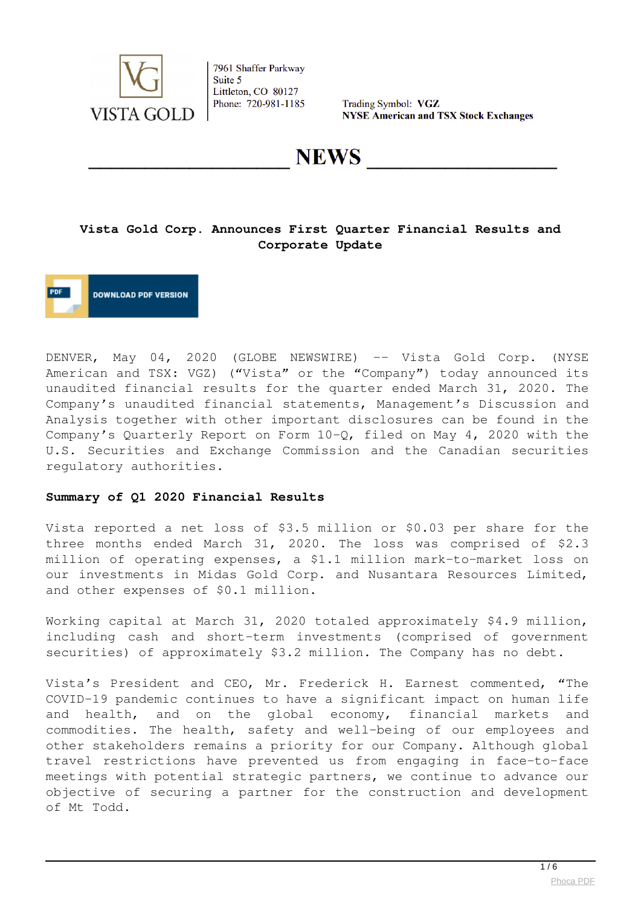

Trading Symbol: VGZ **NYSE American and TSX Stock Exchanges** 

**NEWS** 

### **Vista Gold Corp. Announces First Quarter Financial Results and Corporate Update**

**DOWNLOAD PDF VERSION** 

DENVER, May 04, 2020 (GLOBE NEWSWIRE) -- Vista Gold Corp. (NYSE American and TSX: VGZ) ("Vista" or the "Company") today announced its unaudited financial results for the quarter ended March 31, 2020. The Company's unaudited financial statements, Management's Discussion and Analysis together with other important disclosures can be found in the Company's Quarterly Report on Form 10-Q, filed on May 4, 2020 with the U.S. Securities and Exchange Commission and the Canadian securities regulatory authorities.

#### **Summary of Q1 2020 Financial Results**

Vista reported a net loss of \$3.5 million or \$0.03 per share for the three months ended March 31, 2020. The loss was comprised of \$2.3 million of operating expenses, a \$1.1 million mark-to-market loss on our investments in Midas Gold Corp. and Nusantara Resources Limited, and other expenses of \$0.1 million.

Working capital at March 31, 2020 totaled approximately \$4.9 million, including cash and short-term investments (comprised of government securities) of approximately \$3.2 million. The Company has no debt.

Vista's President and CEO, Mr. Frederick H. Earnest commented, "The COVID-19 pandemic continues to have a significant impact on human life and health, and on the global economy, financial markets and commodities. The health, safety and well-being of our employees and other stakeholders remains a priority for our Company. Although global travel restrictions have prevented us from engaging in face-to-face meetings with potential strategic partners, we continue to advance our objective of securing a partner for the construction and development of Mt Todd.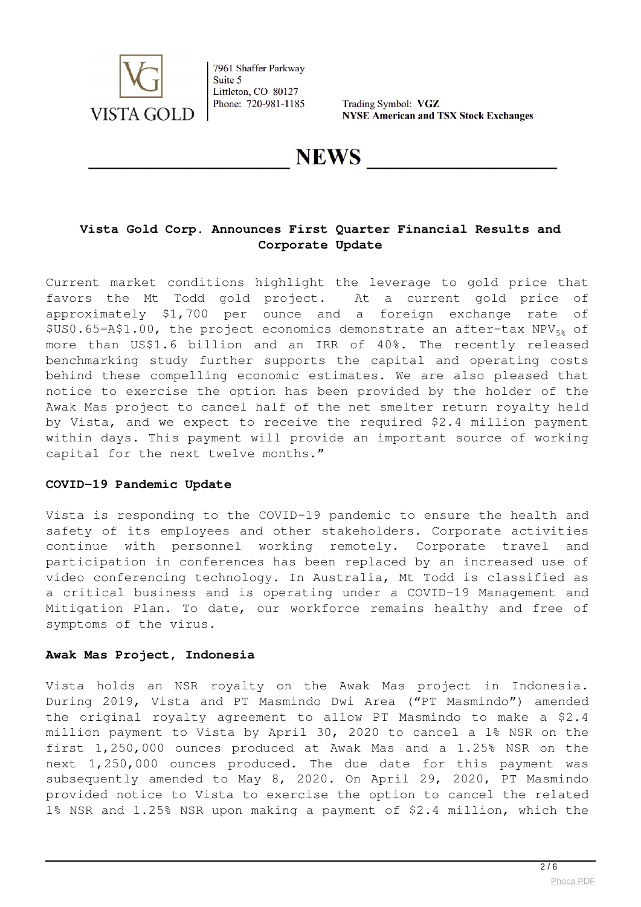

Trading Symbol: VGZ **NYSE American and TSX Stock Exchanges** 

# **NEWS**

# **Vista Gold Corp. Announces First Quarter Financial Results and Corporate Update**

Current market conditions highlight the leverage to gold price that favors the Mt Todd gold project. At a current gold price of approximately \$1,700 per ounce and a foreign exchange rate of  $$US0.65=$ A\$1.00, the project economics demonstrate an after-tax NPV $_{58}$  of more than US\$1.6 billion and an IRR of 40%. The recently released benchmarking study further supports the capital and operating costs behind these compelling economic estimates. We are also pleased that notice to exercise the option has been provided by the holder of the Awak Mas project to cancel half of the net smelter return royalty held by Vista, and we expect to receive the required \$2.4 million payment within days. This payment will provide an important source of working capital for the next twelve months."

#### **COVID-19 Pandemic Update**

Vista is responding to the COVID-19 pandemic to ensure the health and safety of its employees and other stakeholders. Corporate activities continue with personnel working remotely. Corporate travel and participation in conferences has been replaced by an increased use of video conferencing technology. In Australia, Mt Todd is classified as a critical business and is operating under a COVID-19 Management and Mitigation Plan. To date, our workforce remains healthy and free of symptoms of the virus.

#### **Awak Mas Project, Indonesia**

Vista holds an NSR royalty on the Awak Mas project in Indonesia. During 2019, Vista and PT Masmindo Dwi Area ("PT Masmindo") amended the original royalty agreement to allow PT Masmindo to make a \$2.4 million payment to Vista by April 30, 2020 to cancel a 1% NSR on the first 1,250,000 ounces produced at Awak Mas and a 1.25% NSR on the next 1,250,000 ounces produced. The due date for this payment was subsequently amended to May 8, 2020. On April 29, 2020, PT Masmindo provided notice to Vista to exercise the option to cancel the related 1% NSR and 1.25% NSR upon making a payment of \$2.4 million, which the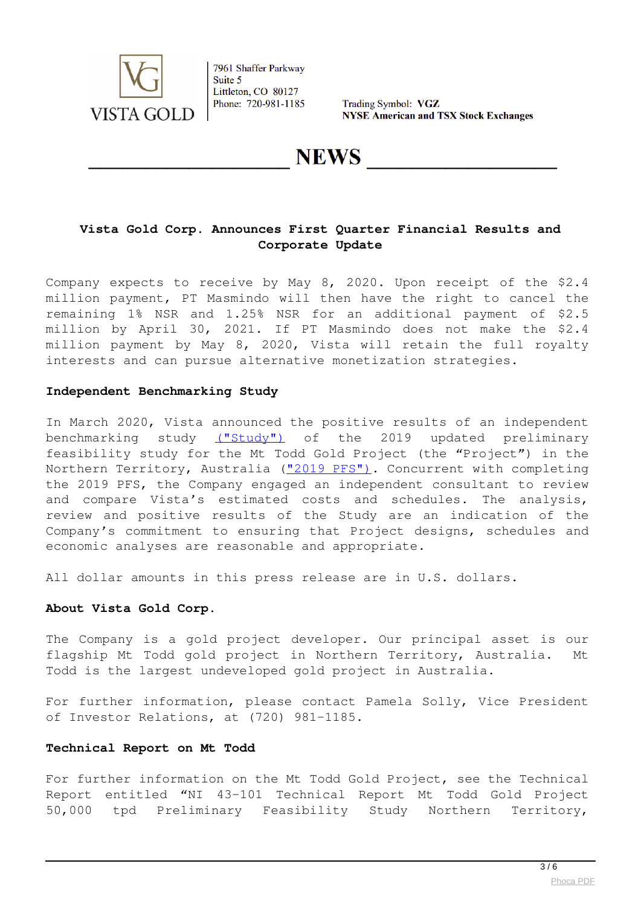

Trading Symbol: VGZ **NYSE American and TSX Stock Exchanges** 

# **NEWS**

# **Vista Gold Corp. Announces First Quarter Financial Results and Corporate Update**

Company expects to receive by May 8, 2020. Upon receipt of the \$2.4 million payment, PT Masmindo will then have the right to cancel the remaining 1% NSR and 1.25% NSR for an additional payment of \$2.5 million by April 30, 2021. If PT Masmindo does not make the \$2.4 million payment by May 8, 2020, Vista will retain the full royalty interests and can pursue alternative monetization strategies.

#### **Independent Benchmarking Study**

In March 2020, Vista announced the positive results of an independent benchmarking study [\("Study"\)](https://www.globenewswire.com/Tracker?data=sit586Hs86-RxbFBgh66xtm4jK2k-bacRJoLIGvQe_WjYno4c4glIkaFB_tVP1rXHremaN_gotR4zH3Ri7rME--t0_S5BoXOAkTrDm6Vr1I99JrEVHWlCe9iEg5fz8p6Nz8K2NB98Q7RVdlmJ1d7QYV7KNLBK356TwlotyNyM50NWOVY5PVLKBKex9rgNsdG) of the 2019 updated preliminary feasibility study for the Mt Todd Gold Project (the "Project") in the Northern Territory, Australia (["2019 PFS"\)](https://www.globenewswire.com/Tracker?data=Bq9yKbnM2y5DwAdngziFBYNc3fp3fB8aEszAaQEftnohRH1b6Z0LxeUV2nQnk0gotmCz6Gk053UOkrNllh03yHqSQUAsSD37mlo0z2CJWIJpAnAmledx-JbDWQuuiPBEPnDPIkPoLQ4AgvTm89BPaCI6GM1gpXKNVhmR8i2Uj6ZuAUPnQFBzU7sLQ1ZXpYF-eUekWzp8-M8hyWDmItpxKQ==). Concurrent with completing the 2019 PFS, the Company engaged an independent consultant to review and compare Vista's estimated costs and schedules. The analysis, review and positive results of the Study are an indication of the Company's commitment to ensuring that Project designs, schedules and economic analyses are reasonable and appropriate.

All dollar amounts in this press release are in U.S. dollars.

#### **About Vista Gold Corp.**

The Company is a gold project developer. Our principal asset is our flagship Mt Todd gold project in Northern Territory, Australia. Mt Todd is the largest undeveloped gold project in Australia.

For further information, please contact Pamela Solly, Vice President of Investor Relations, at (720) 981-1185.

#### **Technical Report on Mt Todd**

For further information on the Mt Todd Gold Project, see the Technical Report entitled "NI 43-101 Technical Report Mt Todd Gold Project 50,000 tpd Preliminary Feasibility Study Northern Territory,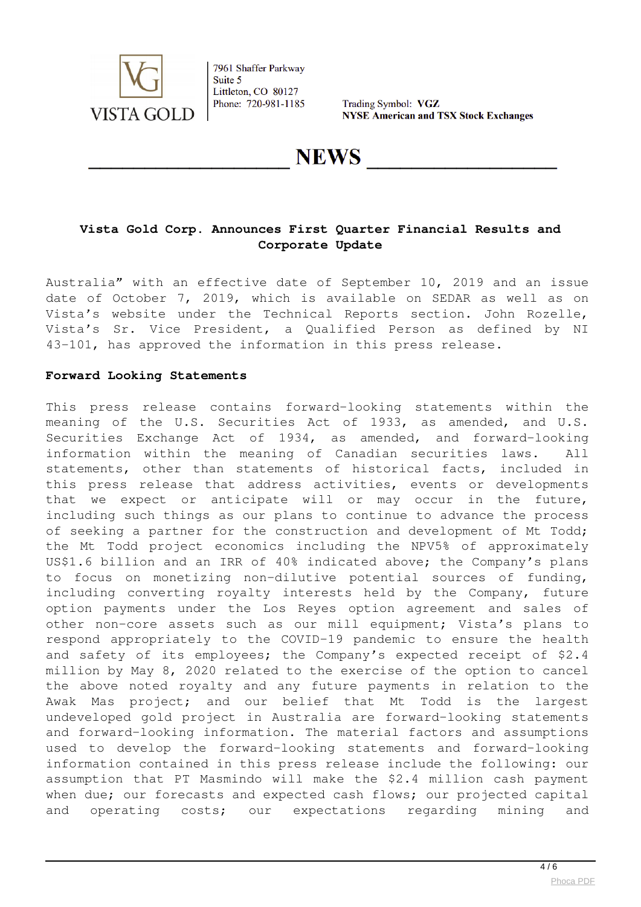

Trading Symbol: VGZ **NYSE American and TSX Stock Exchanges** 

**NEWS** 

# **Vista Gold Corp. Announces First Quarter Financial Results and Corporate Update**

Australia" with an effective date of September 10, 2019 and an issue date of October 7, 2019, which is available on SEDAR as well as on Vista's website under the Technical Reports section. John Rozelle, Vista's Sr. Vice President, a Qualified Person as defined by NI 43-101, has approved the information in this press release.

#### **Forward Looking Statements**

This press release contains forward-looking statements within the meaning of the U.S. Securities Act of 1933, as amended, and U.S. Securities Exchange Act of 1934, as amended, and forward-looking information within the meaning of Canadian securities laws. All statements, other than statements of historical facts, included in this press release that address activities, events or developments that we expect or anticipate will or may occur in the future, including such things as our plans to continue to advance the process of seeking a partner for the construction and development of Mt Todd; the Mt Todd project economics including the NPV5% of approximately US\$1.6 billion and an IRR of 40% indicated above; the Company's plans to focus on monetizing non-dilutive potential sources of funding, including converting royalty interests held by the Company, future option payments under the Los Reyes option agreement and sales of other non-core assets such as our mill equipment; Vista's plans to respond appropriately to the COVID-19 pandemic to ensure the health and safety of its employees; the Company's expected receipt of \$2.4 million by May 8, 2020 related to the exercise of the option to cancel the above noted royalty and any future payments in relation to the Awak Mas project; and our belief that Mt Todd is the largest undeveloped gold project in Australia are forward-looking statements and forward-looking information. The material factors and assumptions used to develop the forward-looking statements and forward-looking information contained in this press release include the following: our assumption that PT Masmindo will make the \$2.4 million cash payment when due; our forecasts and expected cash flows; our projected capital and operating costs; our expectations regarding mining and

 $\overline{4/6}$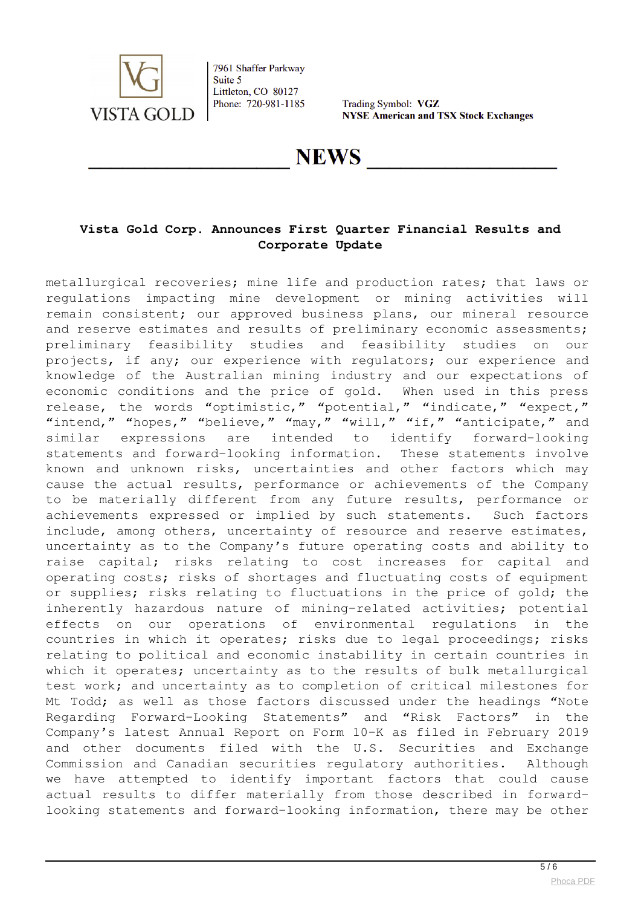

Trading Symbol: VGZ **NYSE American and TSX Stock Exchanges** 

# **NEWS**

# **Vista Gold Corp. Announces First Quarter Financial Results and Corporate Update**

metallurgical recoveries; mine life and production rates; that laws or regulations impacting mine development or mining activities will remain consistent; our approved business plans, our mineral resource and reserve estimates and results of preliminary economic assessments; preliminary feasibility studies and feasibility studies on our projects, if any; our experience with regulators; our experience and knowledge of the Australian mining industry and our expectations of economic conditions and the price of gold. When used in this press release, the words "optimistic," "potential," "indicate," "expect," "intend," "hopes," "believe," "may," "will," "if," "anticipate," and similar expressions are intended to identify forward-looking statements and forward-looking information. These statements involve known and unknown risks, uncertainties and other factors which may cause the actual results, performance or achievements of the Company to be materially different from any future results, performance or achievements expressed or implied by such statements. Such factors include, among others, uncertainty of resource and reserve estimates, uncertainty as to the Company's future operating costs and ability to raise capital; risks relating to cost increases for capital and operating costs; risks of shortages and fluctuating costs of equipment or supplies; risks relating to fluctuations in the price of gold; the inherently hazardous nature of mining-related activities; potential effects on our operations of environmental regulations in the countries in which it operates; risks due to legal proceedings; risks relating to political and economic instability in certain countries in which it operates; uncertainty as to the results of bulk metallurgical test work; and uncertainty as to completion of critical milestones for Mt Todd; as well as those factors discussed under the headings "Note Regarding Forward-Looking Statements" and "Risk Factors" in the Company's latest Annual Report on Form 10-K as filed in February 2019 and other documents filed with the U.S. Securities and Exchange Commission and Canadian securities regulatory authorities. Although we have attempted to identify important factors that could cause actual results to differ materially from those described in forwardlooking statements and forward-looking information, there may be other